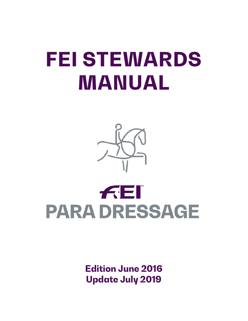# **FEI STEWARDS MANUAL**



## FEI **PARA DRESSAGE**

**Edition June 2016 Update July 2019**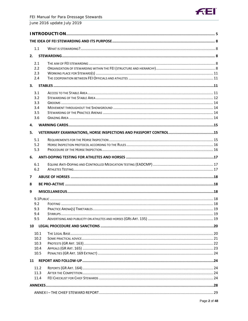

| 1.1  |  |  |  |  |  |  |
|------|--|--|--|--|--|--|
| 2.   |  |  |  |  |  |  |
| 2.1  |  |  |  |  |  |  |
| 2.2  |  |  |  |  |  |  |
| 2.3  |  |  |  |  |  |  |
| 2.4  |  |  |  |  |  |  |
| 3.   |  |  |  |  |  |  |
| 3.1  |  |  |  |  |  |  |
| 3.2  |  |  |  |  |  |  |
| 3.3  |  |  |  |  |  |  |
| 3.4  |  |  |  |  |  |  |
| 3.5  |  |  |  |  |  |  |
| 3.6  |  |  |  |  |  |  |
| 4.   |  |  |  |  |  |  |
| 5.   |  |  |  |  |  |  |
| 5.1  |  |  |  |  |  |  |
| 5.2  |  |  |  |  |  |  |
| 5.3  |  |  |  |  |  |  |
| 6.   |  |  |  |  |  |  |
| 6.1  |  |  |  |  |  |  |
| 6.2  |  |  |  |  |  |  |
|      |  |  |  |  |  |  |
| 7    |  |  |  |  |  |  |
| 8    |  |  |  |  |  |  |
| 9    |  |  |  |  |  |  |
|      |  |  |  |  |  |  |
| 9.2  |  |  |  |  |  |  |
| 9.3  |  |  |  |  |  |  |
| 9.4  |  |  |  |  |  |  |
| 9.5  |  |  |  |  |  |  |
| 10   |  |  |  |  |  |  |
| 10.1 |  |  |  |  |  |  |
| 10.2 |  |  |  |  |  |  |
| 10.3 |  |  |  |  |  |  |
| 10.4 |  |  |  |  |  |  |
| 10.5 |  |  |  |  |  |  |
| 11   |  |  |  |  |  |  |
| 11.2 |  |  |  |  |  |  |
| 11.3 |  |  |  |  |  |  |
| 11.4 |  |  |  |  |  |  |
|      |  |  |  |  |  |  |
|      |  |  |  |  |  |  |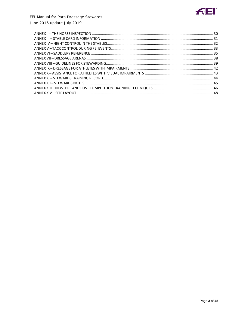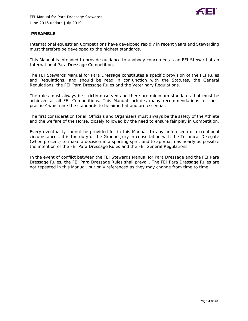

#### **PREAMBLE**

International equestrian Competitions have developed rapidly in recent years and Stewarding must therefore be developed to the highest standards.

This Manual is intended to provide guidance to anybody concerned as an FEI Steward at an International Para Dressage Competition.

The FEI Stewards Manual for Para Dressage constitutes a specific provision of the FEI Rules and Regulations, and should be read in conjunction with the Statutes, the General Regulations, the FEI Para Dressage Rules and the Veterinary Regulations.

The rules must always be strictly observed and there are minimum standards that must be achieved at all FEI Competitions. This Manual includes many recommendations for 'best practice' which are the standards to be aimed at and are essential.

The first consideration for all Officials and Organisers must always be the safety of the Athlete and the welfare of the Horse, closely followed by the need to ensure fair play in Competition.

Every eventuality cannot be provided for in this Manual. In any unforeseen or exceptional circumstances, it is the duty of the Ground Jury in consultation with the Technical Delegate (when present) to make a decision in a sporting spirit and to approach as nearly as possible the intention of the FEI Para Dressage Rules and the FEI General Regulations.

In the event of conflict between the FEI Stewards Manual for Para Dressage and the FEI Para Dressage Rules, the FEI Para Dressage Rules shall prevail. The FEI Para Dressage Rules are not repeated in this Manual, but only referenced as they may change from time to time.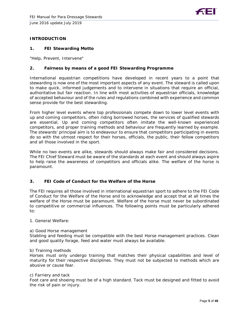#### **INTRODUCTION**

#### **1. FEI Stewarding Motto**

"Help, Prevent, Intervene"

#### **2. Fairness by means of a good FEI Stewarding Programme**

International equestrian competitions have developed in recent years to a point that stewarding is now one of the most important aspects of any event. The steward is called upon to make quick, informed judgements and to intervene in situations that require an official, authoritative but fair reaction. In line with most activities of equestrian officials, knowledge of accepted behaviour and of the rules and regulations combined with experience and common sense provide for the best stewarding.

From higher level events where top professionals compete down to lower level events with up and coming competitors, often riding borrowed horses, the services of qualified stewards are essential. Up and coming competitors often imitate the well-known experienced competitors, and proper training methods and behaviour are frequently learned by example. The stewards' principal aim is to endeavour to ensure that competitors participating in events do so with the utmost respect for their horses, officials, the public, their fellow competitors and all those involved in the sport.

While no two events are alike, stewards should always make fair and considered decisions. The FEI Chief Steward must be aware of the standards at each event and should always aspire to help raise the awareness of competitors and officials alike. The welfare of the horse is paramount.

#### **3. FEI Code of Conduct for the Welfare of the Horse**

The FEI requires all those involved in international equestrian sport to adhere to the FEI Code of Conduct for the Welfare of the Horse and to acknowledge and accept that at all times the welfare of the Horse must be paramount. Welfare of the horse must never be subordinated to competitive or commercial influences. The following points must be particularly adhered to:

1. General Welfare:

#### a) Good Horse management

Stabling and feeding must be compatible with the best Horse management practices. Clean and good quality forage, feed and water must always be available.

#### b) Training methods

Horses must only undergo training that matches their physical capabilities and level of maturity for their respective disciplines. They must not be subjected to methods which are abusive or cause fear.

#### c) Farriery and tack

Foot care and shoeing must be of a high standard. Tack must be designed and fitted to avoid the risk of pain or injury.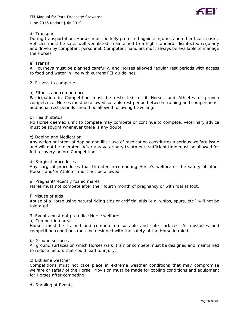

#### d) Transport

During transportation, Horses must be fully protected against injuries and other health risks. Vehicles must be safe, well ventilated, maintained to a high standard, disinfected regularly and driven by competent personnel. Competent handlers must always be available to manage the Horses.

#### e) Transit

All journeys must be planned carefully, and Horses allowed regular rest periods with access to food and water in line with current FEI guidelines.

#### 2. Fitness to compete:

#### a) Fitness and competence

Participation in Competition must be restricted to fit Horses and Athletes of proven competence. Horses must be allowed suitable rest period between training and competitions; additional rest periods should be allowed following travelling.

#### b) Health status

No Horse deemed unfit to compete may compete or continue to compete, veterinary advice must be sought whenever there is any doubt.

#### c) Doping and Medication

Any action or intent of doping and illicit use of medication constitutes a serious welfare issue and will not be tolerated. After any veterinary treatment, sufficient time must be allowed for full recovery before Competition.

d) Surgical procedures

Any surgical procedures that threaten a competing Horse's welfare or the safety of other Horses and/or Athletes must not be allowed.

e) Pregnant/recently foaled mares

Mares must not compete after their fourth month of pregnancy or with foal at foot.

f) Misuse of aids

Abuse of a Horse using natural riding aids or artificial aids (e.g. whips, spurs, etc.) will not be tolerated.

#### 3. Events must not prejudice Horse welfare:

a) Competition areas

Horses must be trained and compete on suitable and safe surfaces. All obstacles and competition conditions must be designed with the safety of the Horse in mind.

#### b) Ground surfaces

All ground surfaces on which Horses walk, train or compete must be designed and maintained to reduce factors that could lead to injury.

#### c) Extreme weather

Competitions must not take place in extreme weather conditions that may compromise welfare or safety of the Horse. Provision must be made for cooling conditions and equipment for Horses after competing.

d) Stabling at Events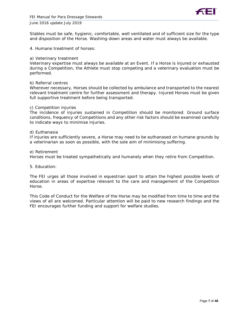

Stables must be safe, hygienic, comfortable, well ventilated and of sufficient size for the type and disposition of the Horse. Washing-down areas and water must always be available.

4. Humane treatment of horses:

#### a) Veterinary treatment

Veterinary expertise must always be available at an Event. If a Horse is injured or exhausted during a Competition, the Athlete must stop competing and a veterinary evaluation must be performed.

#### b) Referral centres

Wherever necessary, Horses should be collected by ambulance and transported to the nearest relevant treatment centre for further assessment and therapy. Injured Horses must be given full supportive treatment before being transported.

#### c) Competition injuries

The incidence of injuries sustained in Competition should be monitored. Ground surface conditions, frequency of Competitions and any other risk factors should be examined carefully to indicate ways to minimise injuries.

#### d) Euthanasia

If injuries are sufficiently severe, a Horse may need to be euthanased on humane grounds by a veterinarian as soon as possible, with the sole aim of minimising suffering.

e) Retirement

Horses must be treated sympathetically and humanely when they retire from Competition.

#### 5. Education:

The FEI urges all those involved in equestrian sport to attain the highest possible levels of education in areas of expertise relevant to the care and management of the Competition Horse.

This Code of Conduct for the Welfare of the Horse may be modified from time to time and the views of all are welcomed. Particular attention will be paid to new research findings and the FEI encourages further funding and support for welfare studies.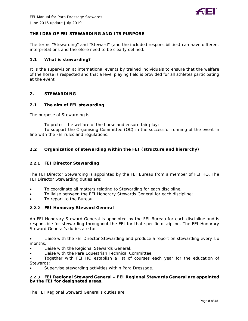

#### **THE IDEA OF FEI STEWARDING AND ITS PURPOSE**

The terms "Stewarding" and "Steward" (and the included responsibilities) can have different interpretations and therefore need to be clearly defined.

#### **1.1 What is stewarding?**

It is the supervision at international events by trained individuals to ensure that the welfare of the horse is respected and that a level playing field is provided for all athletes participating at the event.

#### **2. STEWARDING**

#### **2.1 The aim of FEI stewarding**

The purpose of Stewarding is:

To protect the welfare of the horse and ensure fair play;

- To support the Organising Committee (OC) in the successful running of the event in line with the FEI rules and regulations.

#### **2.2 Organization of stewarding within the FEI (structure and hierarchy)**

#### **2.2.1 FEI Director Stewarding**

The FEI Director Stewarding is appointed by the FEI Bureau from a member of FEI HQ. The FEI Director Stewarding duties are:

- To coordinate all matters relating to Stewarding for each discipline;
- To liaise between the FEI Honorary Stewards General for each discipline;
- To report to the Bureau.

#### **2.2.2 FEI Honorary Steward General**

An FEI Honorary Steward General is appointed by the FEI Bureau for each discipline and is responsible for stewarding throughout the FEI for that specific discipline. The FEI Honorary Steward General's duties are to:

• Liaise with the FEI Director Stewarding and produce a report on stewarding every six months;

- Liaise with the Regional Stewards General;
- Liaise with the Para Equestrian Technical Committee.

• Together with FEI HQ establish a list of courses each year for the education of Stewards;

Supervise stewarding activities within Para Dressage.

#### **2.2.3 FEI Regional Steward General – FEI Regional Stewards General are appointed by the FEI for designated areas.**

The FEI Regional Steward General's duties are: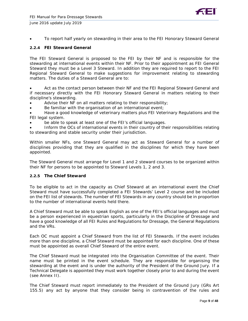

• To report half yearly on stewarding in their area to the FEI Honorary Steward General

#### **2.2.4 FEI Steward General**

The FEI Steward General is proposed to the FEI by their NF and is responsible for the stewarding at international events within their NF. Prior to their appointment as FEI General Steward they must be a Level 3 Steward. In addition they are required to report to the FEI Regional Steward General to make suggestions for improvement relating to stewarding matters. The duties of a Steward General are to:

Act as the contact person between their NF and the FEI Regional Steward General and if necessary directly with the FEI Honorary Steward General in matters relating to their discipline's stewarding.

- Advise their NF on all matters relating to their responsibility;
- Be familiar with the organisation of an international event;

• Have a good knowledge of veterinary matters plus FEI Veterinary Regulations and the FEI legal system.

be able to speak at least one of the FEI's official languages.

• Inform the OCs of international events in their country of their responsibilities relating to stewarding and stable security under their jurisdiction.

Within smaller NFs, one Steward General may act as Steward General for a number of disciplines providing that they are qualified in the disciplines for which they have been appointed.

The Steward General must arrange for Level 1 and 2 steward courses to be organized within their NF for persons to be appointed to Steward Levels 1, 2 and 3.

#### **2.2.5 The Chief Steward**

To be eligible to act in the capacity as Chief Steward at an international event the Chief Steward must have successfully completed a FEI Stewards' Level 2 course and be included on the FEI list of stewards. The number of FEI Stewards in any country should be in proportion to the number of international events held there.

A Chief Steward must be able to speak English as one of the FEI's official languages and must be a person experienced in equestrian sports, particularly in the Discipline of Dressage and have a good knowledge of all FEI Rules and Regulations for Dressage, the General Regulations and the VRs.

Each OC must appoint a Chief Steward from the list of FEI Stewards. If the event includes more than one discipline, a Chief Steward must be appointed for each discipline. One of these must be appointed as overall Chief Steward of the entire event.

The Chief Steward must be integrated into the Organisation Committee of the event. Their name must be printed in the event schedule. They are responsible for organising the stewarding at the event and is under the authority of the President of the Ground Jury. If a Technical Delegate is appointed they must work together closely prior to and during the event (see Annex II).

The Chief Steward must report immediately to the President of the Ground Jury (GRs Art 155.5) any act by anyone that they consider being in contravention of the rules and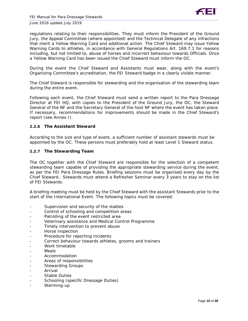

regulations relating to their responsibilities. They must inform the President of the Ground Jury, the Appeal Committee (where appointed) and the Technical Delegate of any infractions that merit a Yellow Warning Card and additional action. The Chief Steward may issue Yellow Warning Cards to athletes, in accordance with General Regulations Art. 169.7.1 for reasons including, but not limited to, abuse of horses and incorrect behaviour towards Officials. Once a Yellow Warning Card has been issued the Chief Steward must inform the OC.

During the event the Chief Steward and Assistants must wear, along with the event's Organizing Committee's accreditation, the FEI Steward badge in a clearly visible manner.

The Chief Steward is responsible for stewarding and the organisation of the stewarding team during the entire event.

Following each event, the Chief Steward must send a written report to the Para Dressage Director at FEI HQ, with copies to the President of the Ground Jury, the OC, the Steward General of the NF and the Secretary General of the host NF where the event has taken place. If necessary, recommendations for improvements should be made in the Chief Steward's report (see Annex I).

#### **2.2.6 The Assistant Steward**

According to the size and type of event, a sufficient number of assistant stewards must be appointed by the OC. These persons must preferably hold at least Level 1 Steward status.

#### **2.2.7 The Stewarding Team**

The OC together with the Chief Steward are responsible for the selection of a competent stewarding team capable of providing the appropriate stewarding service during the event, as per the FEI Para Dressage Rules. Briefing sessions must be organised every day by the Chief Steward.. Stewards must attend a Refresher Seminar every 3 years to stay on the list of FEI Stewards.

A briefing meeting must be held by the Chief Steward with the assistant Stewards prior to the start of the International Event. The following topics must be covered:

- Supervision and security of the stables
- Control of schooling and competition areas
- Patrolling of the event restricted area
- Veterinary assistance and Medical Control Programme
- Timely intervention to prevent abuse
- Horse inspection
- Procedure for reporting incidents
- Correct behaviour towards athletes, grooms and trainers
- Work timetable
- Meals
- Accommodation
- Areas of responsibilities
- Stewarding Groups
- Arrival
- Stable Duties
- Schooling (specific Dressage Duties)
- Warming-up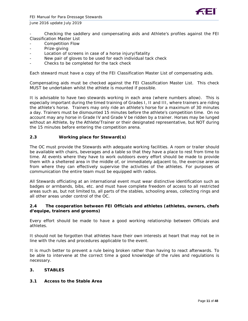

- Checking the saddlery and compensating aids and Athlete's profiles against the FEI Classification Master List

- Competition Flow
- Prize-giving
- Location of screens in case of a horse injury/fatality
- New pair of gloves to be used for each individual tack check
- Checks to be completed for the tack check

Each steward must have a copy of the FEI Classification Master List of compensating aids.

Compensating aids must be checked against the FEI Classification Master List. This check MUST be undertaken whilst the athlete is mounted if possible.

It is advisable to have two stewards working in each area (where numbers allow). This is especially important during the timed training of Grades I, II and III, where trainers are riding the athlete's horse. Trainers may only ride an athlete's horse for a maximum of 30 minutes a day. Trainers must be dismounted 15 minutes before the athlete's competition time. On no account may any horse in Grade IV and Grade V be ridden by a trainer. Horses may be lunged without an Athlete, by the Athlete/Trainer or their designated representative, but NOT during the 15 minutes before entering the competition arena.

#### **2.3 Working place for Steward(s)**

The OC must provide the Stewards with adequate working facilities. A room or trailer should be available with chairs, beverages and a table so that they have a place to rest from time to time. At events where they have to work outdoors every effort should be made to provide them with a sheltered area in the middle of, or immediately adjacent to, the exercise arenas from where they can effectively supervise the activities of the athletes. For purposes of communication the entire team must be equipped with radios.

All Stewards officiating at an international event must wear distinctive identification such as badges or armbands, bibs, etc. and must have complete freedom of access to all restricted areas such as, but not limited to, all parts of the stables, schooling areas, collecting rings and all other areas under control of the OC.

#### **2.4 The cooperation between FEI Officials and athletes (athletes, owners, chefs d'equipe, trainers and grooms)**

Every effort should be made to have a good working relationship between Officials and athletes.

It should not be forgotten that athletes have their own interests at heart that may not be in line with the rules and procedures applicable to the event.

It is much better to prevent a rule being broken rather than having to react afterwards. To be able to intervene at the correct time a good knowledge of the rules and regulations is necessary.

#### **3. STABLES**

#### **3.1 Access to the Stable Area**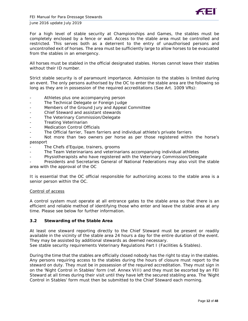

For a high level of stable security at Championships and Games, the stables must be completely enclosed by a fence or wall. Access to the stable area must be controlled and restricted. This serves both as a deterrent to the entry of unauthorised persons and uncontrolled exit of horses. The area must be sufficiently large to allow horses to be evacuated from the stables in an emergency.

All horses must be stabled in the official designated stables. Horses cannot leave their stables without their ID number.

Strict stable security is of paramount importance. Admission to the stables is limited during an event. The only persons authorised by the OC to enter the stable area are the following so long as they are in possession of the required accreditations (See Art. 1009 VRs):

- Athletes plus one accompanying person
- The Technical Delegate or Foreign Judge
- Members of the Ground Jury and Appeal Committee
- Chief Steward and assistant stewards
- The Veterinary Commission/Delegate
- **Treating Veterinarian**
- Medication Control Officials
- The Official farrier, Team farriers and individual athlete's private farriers

Not more than two owners per horse as per those registered within the horse's passport

- The Chefs d'Equipe, trainers, grooms
- The Team Veterinarians and veterinarians accompanying individual athletes
- Physiotherapists who have registered with the Veterinary Commission/Delegate

Presidents and Secretaries General of National Federations may also visit the stable area with the approval of the OC

It is essential that the OC official responsible for authorizing access to the stable area is a senior person within the OC.

#### *Control of access*

A control system must operate at all entrance gates to the stable area so that there is an efficient and reliable method of identifying those who enter and leave the stable area at any time. Please see below for further information.

#### **3.2 Stewarding of the Stable Area**

At least one steward reporting directly to the Chief Steward must be present or readily available in the vicinity of the stable area 24 hours a day for the entire duration of the event. They may be assisted by additional stewards as deemed necessary.

See stable security requirements Veterinary Regulations Part I (Facilities & Stables).

During the time that the stables are officially closed nobody has the right to stay in the stables. Any persons requiring access to the stables during the hours of closure must report to the steward on duty. They must be in possession of the required accreditation. They must sign in on the 'Night Control in Stables' form (ref. Annex VIII) and they must be escorted by an FEI Steward at all times during their visit until they have left the secured stabling area. The 'Night Control in Stables' form must then be submitted to the Chief Steward each morning.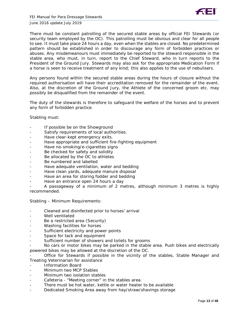

There must be constant patrolling of the secured stable areas by official FEI Stewards (or security team employed by the OC). This patrolling must be obvious and clear for all people to see. It must take place 24 hours a day, even when the stables are closed. No predetermined pattern should be established in order to discourage any form of forbidden practices or abuses. Any misdemeanours must immediately be reported to the steward responsible in the stable area, who must, in turn, report to the Chief Steward, who in turn reports to the President of the Ground Jury. Stewards may also ask for the appropriate Medication Form if a horse is seen to receive treatment of any kind; this also applies to the use of nebulisers.

Any persons found within the secured stable areas during the hours of closure without the required authorisation will have their accreditation removed for the remainder of the event. Also, at the discretion of the Ground Jury, the Athlete of the concerned groom etc. may possibly be disqualified from the remainder of the event.

The duty of the stewards is therefore to safeguard the welfare of the horses and to prevent any form of forbidden practice.

Stabling must:

- If possible be on the Showground
- Satisfy requirements of local authorities.
- Have clear-kept emergency exits.
- Have appropriate and sufficient fire-fighting equipment
- Have no-smoking/e-cigarettes signs
- Be checked for safety and solidity
- Be allocated by the OC to athletes
- Be numbered and labelled
- Have adequate ventilation, water and bedding
- Have clean yards, adequate manure disposal
- Have an area for storing fodder and bedding
- Have an entrance open 24 hours a day

A passageway of a minimum of 2 metres, although minimum 3 metres is highly recommended.

Stabling – Minimum Requirements:

- Cleaned and disinfected prior to horses' arrival
- Well ventilated
- Be a restricted area (Security)
- Washing facilities for horses
- Sufficient electricity and power points
- Space for tack and equipment
- Sufficient number of showers and toilets for grooms
- No cars or motor bikes may be parked in the stable area. Push bikes and electrically powered bikes may be allowed at the discretion of the OC.

Office for Stewards if possible in the vicinity of the stables, Stable Manager and Treating Veterinarian for assistance

- Information Board
- Minimum two MCP Stables
- Minimum two isolation stables
- Cafeteria "Meeting corner" in the stables area.
- There must be hot water, kettle or water heater to be available
- Dedicated Smoking Area away from hay/straw/shavings storage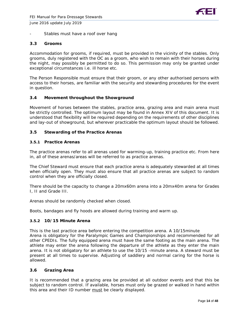

Stables must have a roof over hang

#### **3.3 Grooms**

Accommodation for grooms, if required, must be provided in the vicinity of the stables. Only grooms, duly registered with the OC as a groom, who wish to remain with their horses during the night, may possibly be permitted to do so. This permission may only be granted under exceptional circumstances i.e. ill horse etc.

The Person Responsible must ensure that their groom, or any other authorised persons with access to their horses, are familiar with the security and stewarding procedures for the event in question.

#### **3.4 Movement throughout the Showground**

Movement of horses between the stables, practice area, grazing area and main arena must be strictly controlled. The optimum layout may be found in Annex XIV of this document. It is understood that flexibility will be required depending on the requirements of other disciplines and lay-out of showground, but wherever practicable the optimum layout should be followed.

#### **3.5 Stewarding of the Practice Arenas**

#### **3.5.1 Practice Arenas**

The practice arenas refer to all arenas used for warming-up, training practice etc. From here in, all of these arenas/areas will be referred to as practice arenas.

The Chief Steward must ensure that each practice arena is adequately stewarded at all times when officially open. They must also ensure that all practice arenas are subject to random control when they are officially closed.

There should be the capacity to change a 20mx60m arena into a 20mx40m arena for Grades I, II and Grade III.

Arenas should be randomly checked when closed.

Boots, bandages and fly hoods are allowed during training and warm up.

#### **3.5.2 10/15 Minute Arena**

This is the last practice area before entering the competition arena. A 10/15minute Arena is obligatory for the Paralympic Games and Championships and recommended for all other CPEDIs. The fully equipped arena must have the same footing as the main arena. The athlete may enter the arena following the departure of the athlete as they enter the main arena. It is not obligatory for an athlete to use the 10/15 -minute arena. A steward must be present at all times to supervise. Adjusting of saddlery and normal caring for the horse is allowed.

#### **3.6 Grazing Area**

It is recommended that a grazing area be provided at all outdoor events and that this be subject to random control. If available, horses must only be grazed or walked in hand within this area and their ID number must be clearly displayed.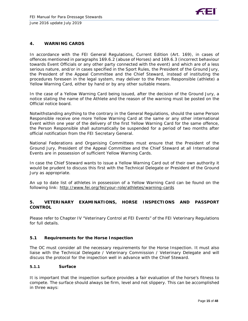

#### **4. WARNING CARDS**

In accordance with the FEI General Regulations, Current Edition (Art. 169), in cases of offences mentioned in paragraphs 169.6.2 (abuse of Horses) and 169.6.3 (incorrect behaviour towards Event Officials or any other party connected with the event) and which are of a less serious nature, and/or in cases specified in the Sport Rules, the President of the Ground Jury, the President of the Appeal Committee and the Chief Steward, instead of instituting the procedures foreseen in the legal system, may deliver to the Person Responsible (athlete) a Yellow Warning Card, either by hand or by any other suitable means.

In the case of a Yellow Warning Card being issued, after the decision of the Ground Jury, a notice stating the name of the Athlete and the reason of the warning must be posted on the Official notice board.

Notwithstanding anything to the contrary in the General Regulations, should the same Person Responsible receive one more Yellow Warning Card at the same or any other international Event within one year of the delivery of the first Yellow Warning Card for the same offence, the Person Responsible shall automatically be suspended for a period of two months after official notification from the FEI Secretary General.

National Federations and Organising Committees must ensure that the President of the Ground Jury, President of the Appeal Committee and the Chief Steward at all International Events are in possession of sufficient Yellow Warning Cards.

In case the Chief Steward wants to issue a Yellow Warning Card out of their own authority it would be prudent to discuss this first with the Technical Delegate or President of the Ground Jury as appropriate.

An up to date list of athletes in possession of a Yellow Warning Card can be found on the following link:<http://www.fei.org/fei/your-role/athletes/warning-cards>

#### **5. VETERINARY EXAMINATIONS, HORSE INSPECTIONS AND PASSPORT CONTROL**

Please refer to Chapter IV "Veterinary Control at FEI Events" of the FEI Veterinary Regulations for full details.

#### **5.1 Requirements for the Horse Inspection**

The OC must consider all the necessary requirements for the Horse Inspection. It must also liaise with the Technical Delegate / Veterinary Commission / Veterinary Delegate and will discuss the protocol for the inspection well in advance with the Chief Steward.

#### **5.1.1 Surface**

It is important that the inspection surface provides a fair evaluation of the horse's fitness to compete. The surface should always be firm, level and not slippery. This can be accomplished in three ways: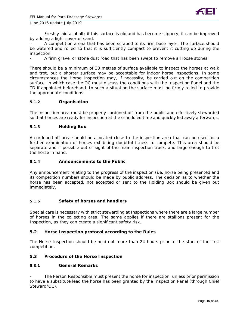

Freshly laid asphalt; if this surface is old and has become slippery, it can be improved by adding a light cover of sand.

A competition arena that has been scraped to its firm base layer. The surface should be watered and rolled so that it is sufficiently compact to prevent it cutting up during the inspection.

A firm gravel or stone dust road that has been swept to remove all loose stones.

There should be a minimum of 30 metres of surface available to inspect the horses at walk and trot, but a shorter surface may be acceptable for indoor horse inspections. In some circumstances the Horse Inspection may, if necessity, be carried out on the competition surface, in which case the OC must discuss the conditions with the Inspection Panel and the TD if appointed beforehand. In such a situation the surface must be firmly rolled to provide the appropriate conditions.

#### **5.1.2 Organisation**

The inspection area must be properly cordoned off from the public and effectively stewarded so that horses are ready for inspection at the scheduled time and quickly led away afterwards.

#### **5.1.3 Holding Box**

A cordoned off area should be allocated close to the inspection area that can be used for a further examination of horses exhibiting doubtful fitness to compete. This area should be separate and if possible out of sight of the main inspection track, and large enough to trot the horse in hand.

#### **5.1.4 Announcements to the Public**

Any announcement relating to the progress of the inspection (i.e. horse being presented and its competition number) should be made by public address. The decision as to whether the horse has been accepted, not accepted or sent to the Holding Box should be given out immediately.

#### **5.1.5 Safety of horses and handlers**

Special care is necessary with strict stewarding at Inspections where there are a large number of horses in the collecting area. The same applies if there are stallions present for the Inspection, as they can create a significant safety risk.

#### **5.2 Horse Inspection protocol according to the Rules**

The Horse Inspection should be held not more than 24 hours prior to the start of the first competition.

#### **5.3 Procedure of the Horse Inspection**

#### **5.3.1 General Remarks**

The Person Responsible must present the horse for inspection, unless prior permission to have a substitute lead the horse has been granted by the Inspection Panel (through Chief Steward/OC).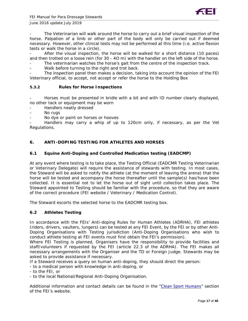

The Veterinarian will walk around the horse to carry out a brief visual inspection of the horse. Palpation of a limb or other part of the body will only be carried out if deemed necessary. However, other clinical tests may not be performed at this time (i.e. active flexion tests or walk the horse in a circle).

After the visual inspection, the horse will be walked for a short distance (10 paces) and then trotted on a loose rein (for 30 - 4O m) with the handler on the left side of the horse.

- The veterinarian watches the horse's gait from the centre of the inspection track.
- Walk before turning to the right and trot back.

The inspection panel then makes a decision, taking into account the opinion of the FEI Veterinary official, to accept, not accept or refer the horse to the Holding Box

#### **5.3.2 Rules for Horse Inspections**

Horses must be presented in bridle with a bit and with ID number clearly displayed, no other tack or equipment may be worn

- Handlers neatly dressed
- No rugs
- No dye or paint on horses or hooves

Handlers may carry a whip of up to 120cm only, if necessary, as per the Vet Regulations.

#### **6. ANTI-DOPING TESTING FOR ATHLETES AND HORSES**

#### **6.1 Equine Anti-Doping and Controlled Medication testing (EADCMP)**

At any event where testing is to take place, the Testing Official (EADCMR Testing Veterinarian or Veterinary Delegate) will require the assistance of stewards with testing. In most cases, the Steward will be asked to notify the athlete (at the moment of leaving the arena) that the horse will be tested and accompany the horse thereafter until the sample(s) has/have been collected. It is essential not to let the horse out of sight until collection takes place. The Steward appointed to Testing should be familiar with the procedure, so that they are aware of the correct procedure (FEI website / Veterinary / Medication Control).

The Steward escorts the selected horse to the EADCMR testing box.

#### **6.2 Athletes Testing**

In accordance with the FEIs' Anti-doping Rules for Human Athletes (ADRHA), FEI athletes (riders, drivers, vaulters, lungers) can be tested at any FEI Event, by the FEI or by other Anti-Doping Organisations with Testing jurisdiction (Anti-Doping Organisations who wish to conduct athlete testing at FEI events must first obtain the FEI's permission).

Where FEI Testing is planned, Organisers have the responsibility to provide facilities and staff/volunteers if requested by the FEI (article 22.3 of the ADRHA). The FEI makes all necessary arrangements with the Organiser and the TD or Foreign Judge. Stewards may be asked to provide assistance if necessary.

If a Steward receives a query on human anti-doping, they should direct the person:

- to a medical person with knowledge in anti-doping, or

- to the FEI, or

- to the local National/Regional Anti-Doping Organisation.

Additional information and contact details can be found in the "[Clean Sport Humans](https://inside.fei.org/fei/cleansport/)" section of the FEI's website.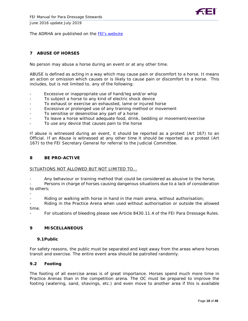

The ADRHA are published on the **[FEI's website](https://inside.fei.org/content/anti-doping-rules)** 

#### **7 ABUSE OF HORSES**

No person may abuse a horse during an event or at any other time.

*ABUSE* is defined as acting in a way which may cause pain or discomfort to a horse. It means an action or omission which causes or is likely to cause pain or discomfort to a horse. This includes, but is not limited to, any of the following:

- Excessive or inappropriate use of hand/leg and/or whip
- To subject a horse to any kind of electric shock device
- To exhaust or exercise an exhausted, lame or injured horse
- Excessive or prolonged use of any training method or movement
- To sensitise or desensitise any part of a horse
- To leave a horse without adequate food, drink, bedding or movement/exercise
- To use any device that causes pain to the horse

If abuse is witnessed during an event, it should be reported as a protest (Art 167) to an Official. If an Abuse is witnessed at any other time it should be reported as a protest (Art 167) to the FEI Secretary General for referral to the Judicial Committee.

#### **8 BE PRO-ACTIVE**

#### *SITUATIONS NOT ALLOWED BUT NOT LIMITED TO...*

Any behaviour or training method that could be considered as abusive to the horse;

- Persons in charge of horses causing dangerous situations due to a lack of consideration to others;
- -

Riding or walking with horse in hand in the main arena, without authorisation;

- Riding in the Practice Arena when used without authorisation or outside the allowed time.

For situations of bleeding please see Article 8430.11.4 of the FEI Para Dressage Rules.

#### **9 MISCELLANEOUS**

#### **9.1Public**

For safety reasons, the public must be separated and kept away from the areas where horses transit and exercise. The entire event area should be patrolled randomly.

#### **9.2 Footing**

The footing of all exercise areas is of great importance. Horses spend much more time in Practice Arenas than in the competition arena. The OC must be prepared to improve the footing (watering, sand, shavings, etc.) and even move to another area if this is available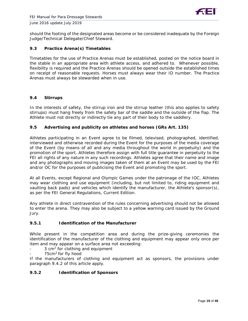

should the footing of the designated areas become or be considered inadequate by the Foreign Judge/Technical Delegate/Chief Steward.

#### **9.3 Practice Arena(s) Timetables**

Timetables for the use of Practice Arenas must be established, posted on the notice board in the stable in an appropriate area with athlete access, and adhered to. Whenever possible, flexibility is required and the Practice Arenas should be opened outside the established times on receipt of reasonable requests. Horses must always wear their ID number. The Practice Arenas must always be stewarded when in use.

#### **9.4 Stirrups**

In the interests of safety, the stirrup iron and the stirrup leather (this also applies to safety stirrups) must hang freely from the safety bar of the saddle and the outside of the flap. The Athlete must not directly or indirectly tie any part of their body to the saddlery.

#### **9.5 Advertising and publicity on athletes and horses (GRs Art. 135)**

Athletes participating in an Event agree to be filmed, televised, photographed, identified, interviewed and otherwise recorded during the Event for the purposes of the media coverage of the Event (by means of all and any media throughout the world in perpetuity) and the promotion of the sport. Athletes therefore assign with full title guarantee in perpetuity to the FEI all rights of any nature in any such recordings. Athletes agree that their name and image and any photographs and moving images taken of them at an Event may be used by the FEI and/or OC for the purposes of publicising the Event and promoting the sport.

At all Events, except Regional and Olympic Games under the patronage of the IOC, Athletes may wear clothing and use equipment (including, but not limited to, riding equipment and vaulting back pads) and vehicles which identify the manufacturer, the Athlete's sponsor(s), as per the FEI General Regulations, Current Edition.

Any athlete in direct contravention of the rules concerning advertising should not be allowed to enter the arena. They may also be subject to a yellow warning card issued by the Ground Jury.

#### **9.5.1 Identification of the Manufacturer**

While present in the competition area and during the prize-giving ceremonies the identification of the manufacturer of the clothing and equipment may appear only once per item and may appear on a surface area not exceeding:

- $3 \text{ cm}^2$  for clothing and equipment
- 75cm<sup>2</sup> for fly hood

If the manufacturers of clothing and equipment act as sponsors, the provisions under paragraph 9.4.2 of this article apply.

#### **9.5.2 Identification of Sponsors**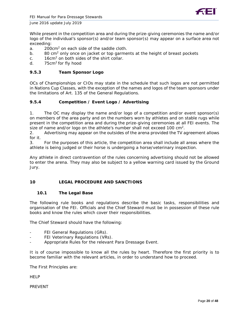



While present in the competition area and during the prize-giving ceremonies the name and/or logo of the individual's sponsor(s) and/or team sponsor(s) may appear on a surface area not exceeding:

- a. 200cm<sup>2</sup> on each side of the saddle cloth.
- b. 80 cm<sup>2</sup> only once on jacket or top garments at the height of breast pockets
- c. 16cm<sup>2</sup> on both sides of the shirt collar.
- d. 75cm<sup>2</sup> for fly hood

#### **9.5.3 Team Sponsor Logo**

OCs of Championships or CIOs may state in the schedule that such logos are not permitted in Nations Cup Classes, with the exception of the names and logos of the team sponsors under the limitations of Art. 135 of the General Regulations.

#### **9.5.4 Competition / Event Logo / Advertising**

1. The OC may display the name and/or logo of a competition and/or event sponsor(s) on members of the area party and on the numbers worn by athletes and on stable rugs while present in the competition area and during the prize-giving ceremonies at all FEI events. The size of name and/or logo on the athlete's number shall not exceed 100 cm<sup>2</sup>.

2. Advertising may appear on the outsides of the arena provided the TV agreement allows for it.

3. For the purposes of this article, the competition area shall include all areas where the athlete is being judged or their horse is undergoing a horse/veterinary inspection.

Any athlete in direct contravention of the rules concerning advertising should not be allowed to enter the arena. They may also be subject to a yellow warning card issued by the Ground Jury.

#### **10 LEGAL PROCEDURE AND SANCTIONS**

#### **10.1 The Legal Base**

The following rule books and regulations describe the basic tasks, responsibilities and organisation of the FEI. Officials and the Chief Steward must be in possession of these rule books and know the rules which cover their responsibilities.

The Chief Steward should have the following:

- FEI General Regulations (GRs).
- FEI Veterinary Regulations (VRs).
- Appropriate Rules for the relevant Para Dressage Event.

It is of course impossible to know all the rules by heart. Therefore the first priority is to become familiar with the relevant articles, in order to understand how to proceed.

The First Principles are:

**HELP** 

PREVENT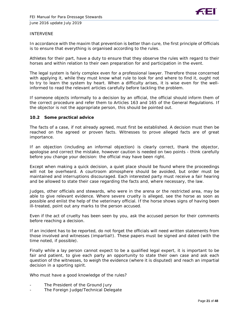

#### INTERVENE

In accordance with the maxim that prevention is better than cure, the first principle of Officials is to ensure that everything is organised according to the rules.

Athletes for their part, have a duty to ensure that they observe the rules with regard to their horses and within relation to their own preparation for and participation in the event.

The legal system is fairly complex even for a professional lawyer. Therefore those concerned with applying it, while they must know what rule to look for and where to find it, ought not to try to learn the system by heart. When a difficulty arises, it is wise even for the wellinformed to read the relevant articles carefully before tackling the problem.

If someone objects informally to a decision by an official, the official should inform them of the correct procedure and refer them to Articles 163 and 165 of the General Regulations. If the objector is not the appropriate person, this should be pointed out.

#### **10.2 Some practical advice**

The facts of a case, if not already agreed, must first be established. A decision must then be reached on the agreed or proven facts. Witnesses to prove alleged facts are of great importance.

If an objection (including an informal objection) is clearly correct, thank the objector, apologise and correct the mistake, however caution is needed on two points - think carefully before you change your decision: the official may have been right.

Except when making a quick decision, a quiet place should be found where the proceedings will not be overheard. A courtroom atmosphere should be avoided, but order must be maintained and interruptions discouraged. Each interested party must receive a fair hearing and be allowed to state their case regarding the facts and, where necessary, the law.

Judges, other officials and stewards, who were in the arena or the restricted area, may be able to give relevant evidence. Where severe cruelty is alleged, see the horse as soon as possible and enlist the help of the veterinary official. If the horse shows signs of having been ill-treated, point out any marks to the person accused.

Even if the act of cruelty has been seen by you, ask the accused person for their comments before reaching a decision.

If an incident has to be reported, do not forget the officials will need written statements from those involved and witnesses (impartial!). These papers must be signed and dated (with the time noted, if possible).

Finally while a lay person cannot expect to be a qualified legal expert, it is important to be fair and patient, to give each party an opportunity to state their own case and ask each question of the witnesses, to weigh the evidence (where it is disputed) and reach an impartial decision in a sporting spirit.

Who must have a good knowledge of the rules?

- The President of the Ground Jury
- The Foreign Judge/Technical Delegate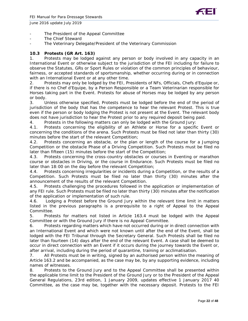

- The President of the Appeal Committee
- The Chief Steward
- The Veterinary Delegate/President of the Veterinary Commission

#### **10.3 Protests (GR Art. 163)**

1. Protests may be lodged against any person or body involved in any capacity in an International Event or otherwise subject to the jurisdiction of the FEI including for failure to observe the Statutes, GRs or Sport Rules or violation of the common principles of behaviour, fairness, or accepted standards of sportsmanship, whether occurring during or in connection with an International Event or at any other time.

2. Protests may only be lodged by the FEI, Presidents of NFs, Officials, Chefs d'Equipe or, if there is no Chef d'Equipe, by a Person Responsible or a Team Veterinarian responsible for Horses taking part in the Event. Protests for abuse of Horses may be lodged by any person or body.

3. Unless otherwise specified, Protests must be lodged before the end of the period of jurisdiction of the body that has the competence to hear the relevant Protest. This is true even if the person or body lodging the Protest is not present at the Event. The relevant body does not have jurisdiction to hear the Protest prior to any required deposit being paid.

4. Protests in the following matters can only be lodged with the Ground Jury:

4.1. Protests concerning the eligibility of an Athlete or Horse for a specific Event or concerning the conditions of the arena. Such Protests must be filed not later than thirty (30) minutes before the start of the relevant Competition;

4.2. Protests concerning an obstacle, or the plan or length of the course for a Jumping Competition or the obstacle Phase of a Driving Competition. Such Protests must be filed no later than fifteen (15) minutes before the start of the Competition;

4.3. Protests concerning the cross-country obstacles or courses in Eventing or marathon course or obstacles in Driving, or the course in Endurance. Such Protests must be filed no later than 18:00 on the day before the relevant Competition;

4.4. Protests concerning irregularities or incidents during a Competition, or the results of a Competition. Such Protests must be filed no later than thirty (30) minutes after the announcement of the results of the relevant Competition.

4.5. Protests challenging the procedures followed in the application or implementation of any FEI rule. Such Protests must be filed no later than thirty (30) minutes after the notification of the application or implementation of such rule.

4.6. Lodging a Protest before the Ground Jury within the relevant time limit in matters listed in the previous paragraphs is a prerequisite to a right of Appeal to the Appeal Committee.

5. Protests for matters not listed in Article 163.4 must be lodged with the Appeal Committee or with the Ground Jury if there is no Appeal Committee.

6. Protests regarding matters which have not occurred during or in direct connection with an International Event and which were not known until after the end of the Event, shall be lodged with the FEI Tribunal through the Secretary General. Such Protests shall be filed no later than fourteen (14) days after the end of the relevant Event. A case shall be deemed to occur in direct connection with an Event if it occurs during the journey towards the Event or, after arrival, including during the period of quarantine, training or acclimatisation.

7. All Protests must be in writing, signed by an authorised person within the meaning of Article 163.2 and be accompanied, as the case may be, by any supporting evidence, including names of witnesses.

8. Protests to the Ground Jury and to the Appeal Committee shall be presented within the applicable time limit to the President of the Ground Jury or to the President of the Appeal General Regulations, 23rd edition, 1 January 2009, updates effective 1 January 2017 40 Committee, as the case may be, together with the necessary deposit. Protests to the FEI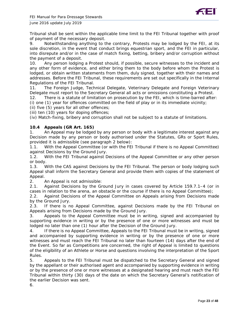

Tribunal shall be sent within the applicable time limit to the FEI Tribunal together with proof of payment of the necessary deposit.

9. Notwithstanding anything to the contrary, Protests may be lodged by the FEI, at its sole discretion, in the event that conduct brings equestrian sport, and the FEI in particular, into disrepute and/or in the case of match fixing, betting, bribery and/or corruption without the payment of a deposit.

10. Any person lodging a Protest should, if possible, secure witnesses to the incident and any other form of evidence, and either bring them to the body before whom the Protest is lodged, or obtain written statements from them, duly signed, together with their names and addresses. Before the FEI Tribunal, these requirements are set out specifically in the Internal Regulations of the FEI Tribunal.

11. The Foreign Judge, Technical Delegate, Veterinary Delegate and Foreign Veterinary Delegate must report to the Secretary General all acts or omissions constituting a Protest.

12. There is a statute of limitation on prosecution by the FEI, which is time-barred after:

(i) one (1) year for offences committed on the field of play or in its immediate vicinity;

(ii) five (5) years for all other offences;

(iii) ten (10) years for doping offences;

(iv) Match-fixing, bribery and corruption shall not be subject to a statute of limitations.

#### **10.4 Appeals (GR Art. 165)**

1. An Appeal may be lodged by any person or body with a legitimate interest against any Decision made by any person or body authorised under the Statutes, GRs or Sport Rules, provided it is admissible (see paragraph 2 below):

1.1. With the Appeal Committee (or with the FEI Tribunal if there is no Appeal Committee) against Decisions by the Ground Jury.

1.2. With the FEI Tribunal against Decisions of the Appeal Committee or any other person or body.

1.3. With the CAS against Decisions by the FEI Tribunal. The person or body lodging such Appeal shall inform the Secretary General and provide them with copies of the statement of Appeal.

2. An Appeal is not admissible:

2.1. Against Decisions by the Ground Jury in cases covered by Article 159.7.1–4 (or in cases in relation to the arena, an obstacle or the course if there is no Appeal Committee);

2.2. Against Decisions of the Appeal Committee on Appeals arising from Decisions made by the Ground Jury.

2.3. If there is no Appeal Committee, against Decisions made by the FEI Tribunal on Appeals arising from Decisions made by the Ground Jury.

3. Appeals to the Appeal Committee must be in writing, signed and accompanied by supporting evidence in writing or by the presence of one or more witnesses and must be lodged no later than one (1) hour after the Decision of the Ground Jury.

4. If there is no Appeal Committee, Appeals to the FEI Tribunal must be in writing, signed and accompanied by supporting evidence in writing or by the presence of one or more witnesses and must reach the FEI Tribunal no later than fourteen (14) days after the end of the Event. So far as Competitions are concerned, the right of Appeal is limited to questions of the eligibility of an Athlete or Horse and questions involving the interpretation of the Sport Rules.

5. Appeals to the FEI Tribunal must be dispatched to the Secretary General and signed by the appellant or their authorised agent and accompanied by supporting evidence in writing or by the presence of one or more witnesses at a designated hearing and must reach the FEI Tribunal within thirty (30) days of the date on which the Secretary General's notification of the earlier Decision was sent.

6.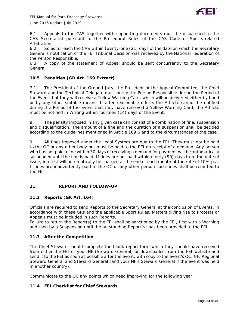

6.1. Appeals to the CAS together with supporting documents must be dispatched to the CAS Secretariat pursuant to the Procedural Rules of the CAS Code of Sports-related Arbitration:

6.2. So as to reach the CAS within twenty-one (21) days of the date on which the Secretary General's notification of the FEI Tribunal Decision was received by the National Federation of the Person Responsible.

6.3. A copy of the statement of Appeal should be sent concurrently to the Secretary General.

#### **10.5 Penalties (GR Art. 169 Extract)**

7.1. The President of the Ground Jury, the President of the Appeal Committee, the Chief Steward and the Technical Delegate must notify the Person Responsible during the Period of the Event that they will receive a Yellow Warning Card, which will be delivered either by hand or by any other suitable means. If after reasonable efforts the Athlete cannot be notified during the Period of the Event that they have received a Yellow Warning Card, the Athlete must be notified in Writing within fourteen (14) days of the Event.

8. The penalty imposed in any given case can consist of a combination of fine, suspension and disqualification. The amount of a fine and the duration of a suspension shall be decided according to the guidelines mentioned in Article 169.6 and to the circumstances of the case.

9. All fines imposed under the Legal System are due to the FEI. They must not be paid to the OC or any other body but must be paid to the FEI on receipt of a demand. Any person who has not paid a fine within 30 days of receiving a demand for payment will be automatically suspended until the fine is paid. If fines are not paid within ninety (90) days from the date of issue, interest will automatically be charged at the end of each month at the rate of 10% p.a. If fines are inadvertently paid to the OC or any other person such fines shall be remitted to the FEI.

#### **11 REPORT AND FOLLOW-UP**

#### **11.2 Reports (GR Art. 164)**

Officials are required to send Reports to the Secretary General at the conclusion of Events, in accordance with these GRs and the applicable Sport Rules. Matters giving rise to Protests or Appeals must be included in such Reports.

Failure to return the Report(s) to the FEI shall be sanctioned by the FEI, first with a Warning and then by a Suspension until the outstanding Report(s) has been provided to the FEI.

## **11.3 After the Competition**

The Chief Steward should complete the blank report form which they should have received from either the FEI or your NF (Steward General) or downloaded from the FEI website and send it to the FEI as soon as possible after the event, with copy to the event's OC, NF, Regional Steward General and Steward General (and your NF's Steward General if the event was held in another country).

Communicate to the OC any points which need improving for the following year.

#### **11.4 FEI Checklist for Chief Stewards**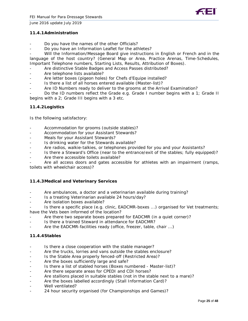#### **11.4.1Administration**

- Do you have the names of the other Officials?
- Do you have an Information Leaflet for the athletes?

Will the Information/Message Board give instructions in English or French and in the language of the host country? (General Map or Area, Practice Arenas, Time-Schedules, Important Telephone numbers, Starting Lists, Results, Attribution of Boxes).

- Are distinctive Stable Badges and Access Passes distributed?
- Are telephone lists available?
- Are letter boxes (pigeon holes) for Chefs d'Equipe installed?
- Is there a list of all horses entered available (Master-list)?
- Are ID Numbers ready to deliver to the grooms at the Arrival Examination?

Do the ID numbers reflect the Grade e.g. Grade I number begins with a 1; Grade II begins with a 2; Grade III begins with a 3 etc.

#### **11.4.2Logistics**

Is the following satisfactory:

- Accommodation for grooms (outside stables)?
- Accommodation for your Assistant Stewards?
- Meals for your Assistant Stewards?
- Is drinking water for the Stewards available?
- Are radios, walkie-talkies, or telephones provided for you and your Assistants?
- Is there a Steward's Office (near to the entrance/exit of the stables; fully equipped)?
- Are there accessible toilets available?

Are all access doors and gates accessible for athletes with an impairment (ramps, toilets with wheelchair access)?

#### **11.4.3Medical and Veterinary Services**

- Are ambulances, a doctor and a veterinarian available during training?
- Is a treating Veterinarian available 24 hours/day?
- Are isolation boxes available?

Is there a specific place (e.g. clinic, EADCMR-boxes ...) organised for Vet treatments; have the Vets been informed of the location?

- Are there two separate boxes prepared for EADCMR (in a quiet corner)?
- Is there a trained Steward in attendance for EADCMR?
- Are the EADCMR-facilities ready (office, freezer, table, chair ...)

#### **11.4.4Stables**

- Is there a close cooperation with the stable manager?
- Are the trucks, lorries and vans outside the stables enclosure?
- Is the Stable Area properly fenced-off (Restricted Area)?
- Are the boxes sufficiently large and safe?
- Is there a list of stabled horses (Boxes numbered Master-list)?
- Are there separate areas for CPEDI and CDI horses?
- Are stallions placed in suitable stables (not in the stable next to a mare)?
- Are the boxes labelled accordingly (Stall Information Card)?
- Well ventilated?
- 24 hour security organised (for Championships and Games)?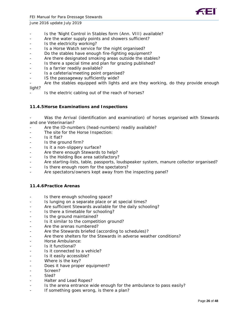- Is the 'Night Control in Stables form (Ann. VIII) available?
- Are the water supply points and showers sufficient?
- Is the electricity working?
- Is a Horse Watch service for the night organised?
- Do the stables have enough fire-fighting equipment?
- Are there designated smoking areas outside the stables?
- Is there a special time and plan for grazing published?
- Is a farrier readily available?
- Is a cafeteria/meeting point organised?
- IS the passageway sufficiently wide?
- Are the stables equipped with lights and are they working, do they provide enough light?
	- Is the electric cabling out of the reach of horses?

#### **11.4.5Horse Examinations and Inspections**

Was the Arrival (identification and examination) of horses organised with Stewards and one Veterinarian?

- Are the ID-numbers (head-numbers) readily available?
- The site for the Horse Inspection:
- Is it flat?
- Is the ground firm?
- Is it a non-slippery surface?
- Are there enough Stewards to help?
- Is the Holding Box area satisfactory?
- Are starting-lists, table, passports, loudspeaker system, manure collector organised?
- Is there enough room for the spectators?
- Are spectators/owners kept away from the inspecting panel?

#### **11.4.6Practice Arenas**

- Is there enough schooling space?
- Is lunging on a separate place or at special times?
- Are sufficient Stewards available for the daily schooling?
- Is there a timetable for schooling?
- Is the ground maintained?
- Is it similar to the competition ground?
- Are the arenas numbered?
- Are the Stewards briefed (according to schedules)?
- Are there shelters for the Stewards in adverse weather conditions?
- Horse Ambulance:
- Is it functional?
- Is it connected to a vehicle?
- Is it easily accessible?
- Where is the key?
- Does it have proper equipment?
- Screen?
- Sled?
- Halter and Lead Ropes?
- Is the arena entrance wide enough for the ambulance to pass easily?
- If something goes wrong, is there a plan?

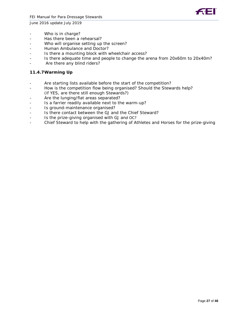



- Who is in charge?
- Has there been a rehearsal?
- Who will organise setting up the screen?
- Human Ambulance and Doctor?
- Is there a mounting block with wheelchair access?
- Is there adequate time and people to change the arena from 20x60m to 20x40m?
- Are there any blind riders?

#### **11.4.7Warming Up**

- Are starting lists available before the start of the competition?
- How is the competition flow being organised? Should the Stewards help?
- (if YES, are there still enough Stewards?)
- Are the lunging/flat areas separated?
- Is a farrier readily available next to the warm-up?
- Is ground-maintenance organised?
- Is there contact between the GJ and the Chief Steward?
- Is the prize-giving organised with GJ and OC?
- Chief Steward to help with the gathering of Athletes and Horses for the prize-giving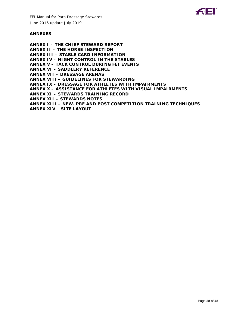

#### **ANNEXES**

**ANNEX I – THE CHIEF STEWARD REPORT ANNEX II – THE HORSE INSPECTION ANNEX III – STABLE CARD INFORMATION ANNEX IV – NIGHT CONTROL IN THE STABLES ANNEX V – TACK CONTROL DURING FEI EVENTS ANNEX VI – SADDLERY REFERENCE ANNEX VII – DRESSAGE ARENAS ANNEX VIII – GUIDELINES FOR STEWARDING ANNEX IX – DRESSAGE FOR ATHLETES WITH IMPAIRMENTS ANNEX X – ASSISTANCE FOR ATHLETES WITH VISUAL IMPAIRMENTS ANNEX XI – STEWARDS TRAINING RECORD ANNEX XII – STEWARDS NOTES ANNEX XIII – NEW. PRE AND POST COMPETITION TRAINING TECHNIQUES ANNEX XIV – SITE LAYOUT**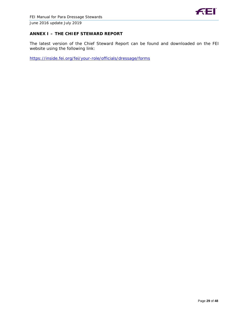

#### **ANNEX I – THE CHIEF STEWARD REPORT**

The latest version of the Chief Steward Report can be found and downloaded on the FEI website using the following link:

<https://inside.fei.org/fei/your-role/officials/dressage/forms>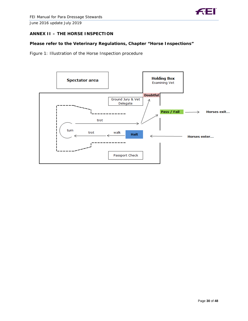

#### **ANNEX II – THE HORSE INSPECTION**

#### **Please refer to the Veterinary Regulations, Chapter "Horse Inspections"**

Figure 1: Illustration of the Horse Inspection procedure

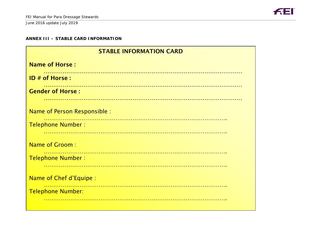

#### **ANNEX III – STABLE CARD INFORMATION**

| <b>STABLE INFORMATION CARD</b> |  |  |  |  |
|--------------------------------|--|--|--|--|
| <b>Name of Horse:</b>          |  |  |  |  |
| $ID \#$ of Horse :             |  |  |  |  |
| <b>Gender of Horse:</b>        |  |  |  |  |
|                                |  |  |  |  |
| Name of Person Responsible :   |  |  |  |  |
| <b>Telephone Number:</b>       |  |  |  |  |
|                                |  |  |  |  |
| <b>Name of Groom:</b>          |  |  |  |  |
| <b>Telephone Number:</b>       |  |  |  |  |
|                                |  |  |  |  |
| Name of Chef d'Equipe :        |  |  |  |  |
| <b>Telephone Number:</b>       |  |  |  |  |
|                                |  |  |  |  |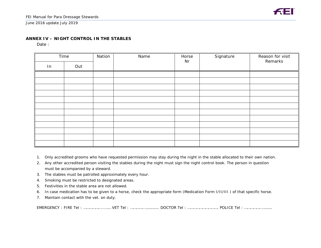#### **ANNEX IV – NIGHT CONTROL IN THE STABLES**

Date:

| Time |     | Nation | Name | Horse<br>Nr | Signature | Reason for visit<br>Remarks |
|------|-----|--------|------|-------------|-----------|-----------------------------|
| In   | Out |        |      |             |           |                             |
|      |     |        |      |             |           |                             |
|      |     |        |      |             |           |                             |
|      |     |        |      |             |           |                             |
|      |     |        |      |             |           |                             |
|      |     |        |      |             |           |                             |
|      |     |        |      |             |           |                             |
|      |     |        |      |             |           |                             |
|      |     |        |      |             |           |                             |
|      |     |        |      |             |           |                             |
|      |     |        |      |             |           |                             |
|      |     |        |      |             |           |                             |
|      |     |        |      |             |           |                             |

- 1. Only accredited grooms who have requested permission may stay during the night in the stable allocated to their own nation.
- 2. Any other accredited person visiting the stables during the night must sign the night control book. The person in question must be accompanied by a steward.
- 3. The stables must be patrolled approximately every hour.
- 4. Smoking must be restricted to designated areas.
- 5. Festivities in the stable area are not allowed.
- 6. In case medication has to be given to a horse, check the appropriate form (Medication Form I/II/III ) of that specific horse.
- 7. Maintain contact with the vet. on duty.

EMERGENCY : FIRE Tel : …………….....…… VET Tel : …………..………….. DOCTOR Tel : …………………………. POLICE Tel : ……………..……….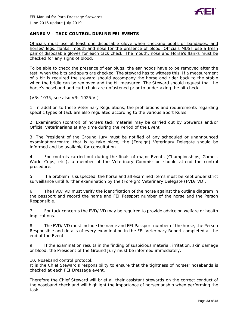#### **ANNEX V – TACK CONTROL DURING FEI EVENTS**

Officials must use at least one disposable glove when checking boots or bandages, and horses' legs, flanks, mouth and nose for the presence of blood. Officials MUST use a fresh pair of disposable gloves for each tack check. The mouth, nose and Horse's flanks must be checked for any signs of blood.

To be able to check the presence of ear plugs, the ear hoods have to be removed after the test, when the bits and spurs are checked. The steward has to witness this. If a measurement of a bit is required the steward should accompany the horse and rider back to the stable when the bridle can be removed and the bit measured. The Steward should request that the horse's noseband and curb chain are unfastened prior to undertaking the bit check.

(VRs 1035, see also VRs 1025.VI)

1. In addition to these Veterinary Regulations, the prohibitions and requirements regarding specific types of tack are also regulated according to the various Sport Rules.

2. Examination (control) of horse's tack material may be carried out by Stewards and/or Official Veterinarians at any time during the Period of the Event.

3. The President of the Ground Jury must be notified of any scheduled or unannounced examination/control that is to take place; the (Foreign) Veterinary Delegate should be informed and be available for consultation.

4. For controls carried out during the finals of major Events (Championships, Games, World Cups, etc.), a member of the Veterinary Commission should attend the control procedure.

5. If a problem is suspected, the horse and all examined items must be kept under strict surveillance until further examination by the (Foreign) Veterinary Delegate (FVD/ VD).

6. The FVD/ VD must verify the identification of the horse against the outline diagram in the passport and record the name and FEI Passport number of the horse and the Person Responsible.

7. For tack concerns the FVD/ VD may be required to provide advice on welfare or health implications.

8. The FVD/ VD must include the name and FEI Passport number of the horse, the Person Responsible and details of every examination in the FEI Veterinary Report completed at the end of the Event.

9. If the examination results in the finding of suspicious material, irritation, skin damage or blood, the President of the Ground Jury must be informed immediately.

10. Noseband control protocol:

It is the Chief Steward's responsibility to ensure that the tightness of horses' nosebands is checked at each FEI Dressage event.

Therefore the Chief Steward will brief all their assistant stewards on the correct conduct of the noseband check and will highlight the importance of horsemanship when performing the task.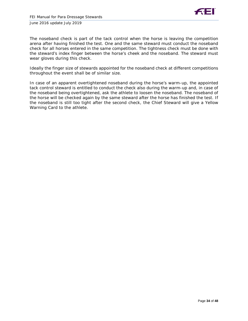

The noseband check is part of the tack control when the horse is leaving the competition arena after having finished the test. One and the same steward must conduct the noseband check for all horses entered in the same competition. The tightness check must be done with the steward's index finger between the horse's cheek and the noseband. The steward must wear gloves during this check.

Ideally the finger size of stewards appointed for the noseband check at different competitions throughout the event shall be of similar size.

In case of an apparent overtightened noseband during the horse's warm-up, the appointed tack control steward is entitled to conduct the check also during the warm-up and, in case of the noseband being overtightened, ask the athlete to loosen the noseband. The noseband of the horse will be checked again by the same steward after the horse has finished the test. If the noseband is still too tight after the second check, the Chief Steward will give a Yellow Warning Card to the athlete.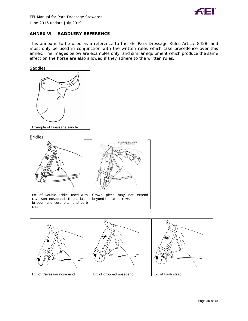

#### **ANNEX VI – SADDLERY REFERENCE**

This annex is to be used as a reference to the FEI Para Dressage Rules Article 8428, and must only be used in conjunction with the written rules which take precedence over this annex. The images below are examples only, and similar equipment which produce the same effect on the horse are also allowed if they adhere to the written rules.





**Bridles** 



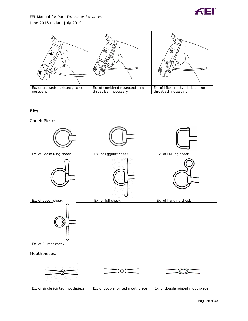



#### **Bits**

#### Cheek Pieces:



#### Mouthpieces:

| Ex. of single jointed mouthpiece | Ex. of double jointed mouthpiece | Ex. of double jointed mouthpiece |
|----------------------------------|----------------------------------|----------------------------------|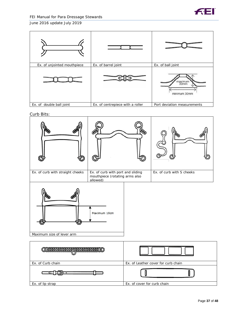



Curb Bits:

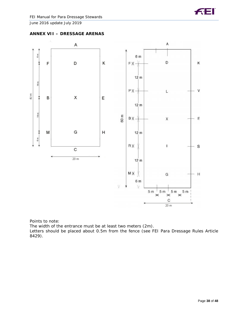





Points to note:

The width of the entrance must be at least two meters (2m).

Letters should be placed about 0.5m from the fence (see FEI Para Dressage Rules Article 8429).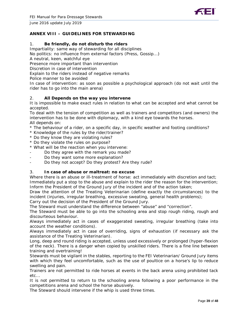

#### **ANNEX VIII – GUIDELINES FOR STEWARDING**

#### 1. **Be friendly, do not disturb the riders**

Impartiality: same way of stewarding for all disciplines

No politics: no influence from external factors (Press, Gossip...)

A neutral, keen, watchful eye

Presence more important than intervention

Discretion in case of intervention

Explain to the riders instead of negative remarks

Police manner to be avoided

In case of intervention: as soon as possible a psychological approach (do not wait until the rider has to go into the main arena)

#### 2. **All Depends on the way you intervene**

It is impossible to make exact rules in relation to what can be accepted and what cannot be accepted.

To deal with the tension of competition as well as trainers and competitors (and owners) the intervention has to be done with diplomacy, with a kind eye towards the horses. All depends on:

- \* The behaviour of a rider, on a specific day, in specific weather and footing conditions?
- \* Knowledge of the rules by the rider/trainer?
- \* Do they know they are violating rules?
- \* Do they violate the rules on purpose?

\* What will be the reaction when you intervene:

- Do they agree with the remark you made?
- Do they want some more explanation?
- Do they not accept? Do they protest? Are they rude?

#### 3. **In case of abuse or maltreat: no excuse**

Where there is an abuse or ill-treatment of horse: act immediately with discretion and tact; Immediately put a stop to the abuse and explain to the rider the reason for the intervention; Inform the President of the Ground Jury of the incident and of the action taken;

Draw the attention of the Treating Veterinarian (define exactly the circumstances) to the incident (injuries, irregular breathing, excessive sweating, general health problems);

Carry out the decision of the President of the Ground Jury.

The Steward must understand the difference between "abuse" and "correction".

The Steward must be able to go into the schooling area and stop rough riding, rough and discourteous behaviour.

Always immediately act in cases of exaggerated sweating, irregular breathing (take into account the weather conditions).

Always immediately act in case of overriding, signs of exhaustion (if necessary ask the assistance of the Treating Veterinarian).

Long, deep and round riding is accepted, unless used excessively or prolonged (hyper-flexion of the neck). There is a danger when copied by unskilled riders. There is a fine line between training and overtraining!

Stewards must be vigilant in the stables, reporting to the FEI Veterinarian/ Ground Jury items with which they feel uncomfortable, such as the use of poultice on a horse's lip to reduce swelling and pain.

Trainers are not permitted to ride horses at events in the back arena using prohibited tack etc...

It is not permitted to return to the schooling arena following a poor performance in the competitions arena and school the horse abusively.

The Steward should intervene if the whip is used three times.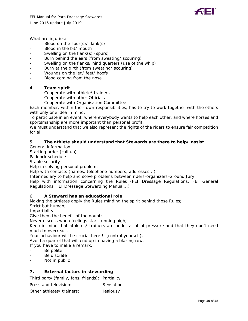



What are injuries:

- Blood on the spur(s)/ flank(s)
- Blood in the bit/ mouth
- Swelling on the flank(s) (spurs)
- Burn behind the ears (from sweating/ scouring)
- Swelling on the flanks/ hind quarters (use of the whip)
- Burn at the girth (from sweating/ scouring)
- Wounds on the leg/ feet/ hoofs
- Blood coming from the nose

#### 4. **Team spirit**

- Cooperate with athlete/ trainers
- Cooperate with other Officials
- Cooperate with Organisation Committee

Each member, within their own responsibilities, has to try to work together with the others with only one idea in mind:

To participate in an event, where everybody wants to help each other, and where horses and sportsmanship are more important than personal profit.

We must understand that we also represent the rights of the riders to ensure fair competition for all.

#### 5. **The athlete should understand that Stewards are there to help/ assist**

General information

Starting order (call up)

Paddock schedule

Stable security

Help in solving personal problems

Help with contacts (names, telephone numbers, addresses...)

Intermediary to help and solve problems between riders-organizers-Ground Jury Help with information concerning the Rules (FEI Dressage Regulations, FEI General Regulations, FEI Dressage Stewarding Manual...)

#### 6. **A Steward has an educational role**

Making the athletes apply the Rules minding the spirit behind those Rules;

Strict but human;

Impartiality;

Give them the benefit of the doubt;

Never discuss when feelings start running high;

Keep in mind that athletes/ trainers are under a lot of pressure and that they don't need much to overreact.

Your behaviour will be crucial here!!! (control yourself).

Avoid a quarrel that will end up in having a blazing row.

If you have to make a remark:

- Be polite
- Be discrete
- Not in public

#### **7. External factors in stewarding**

Third party (family, fans, friends): Partiality

Press and television: Sensation

Other athletes/ trainers: Jealousy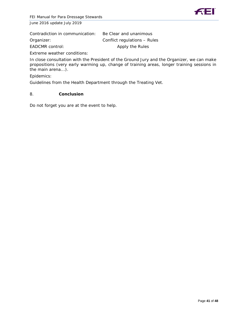

| Contradiction in communication: | Be Clear and unanimous       |
|---------------------------------|------------------------------|
| Organizer:                      | Conflict regulations - Rules |
| EADCMR control:                 | Apply the Rules              |

Extreme weather conditions:

In close consultation with the President of the Ground Jury and the Organizer, we can make propositions (very early warming up, change of training areas, longer training sessions in the main arena...).

Epidemics:

Guidelines from the Health Department through the Treating Vet.

#### 8. **Conclusion**

Do not forget you are at the event to help.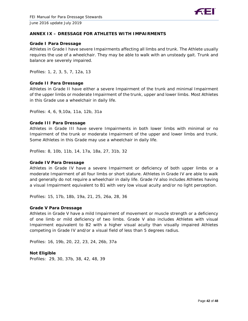

#### **ANNEX IX – DRESSAGE FOR ATHLETES WITH IMPAIRMENTS**

#### **Grade I Para Dressage**

Athletes in Grade I have severe Impairments affecting all limbs and trunk. The Athlete usually requires the use of a wheelchair. They may be able to walk with an unsteady gait. Trunk and balance are severely impaired.

Profiles: 1, 2, 3, 5, 7, 12a, 13

#### **Grade II Para Dressage**

Athletes in Grade II have either a severe Impairment of the trunk and minimal Impairment of the upper limbs or moderate Impairment of the trunk, upper and lower limbs. Most Athletes in this Grade use a wheelchair in daily life.

Profiles: 4, 6, 9,10a, 11a, 12b, 31a

#### **Grade III Para Dressage**

Athletes in Grade III have severe Impairments in both lower limbs with minimal or no Impairment of the trunk or moderate Impairment of the upper and lower limbs and trunk. Some Athletes in this Grade may use a wheelchair in daily life.

Profiles: 8, 10b, 11b, 14, 17a, 18a, 27, 31b, 32

#### **Grade IV Para Dressage**

Athletes in Grade IV have a severe Impairment or deficiency of both upper limbs or a moderate Impairment of all four limbs or short stature. Athletes in Grade IV are able to walk and generally do not require a wheelchair in daily life. Grade IV also includes Athletes having a visual Impairment equivalent to B1 with very low visual acuity and/or no light perception.

Profiles: 15, 17b, 18b, 19a, 21, 25, 26a, 28, 36

#### **Grade V Para Dressage**

Athletes in Grade V have a mild Impairment of movement or muscle strength or a deficiency of one limb or mild deficiency of two limbs. Grade V also includes Athletes with visual Impairment equivalent to B2 with a higher visual acuity than visually impaired Athletes competing in Grade IV and/or a visual field of less than 5 degrees radius.

Profiles: 16, 19b, 20, 22, 23, 24, 26b, 37a

#### **Not Eligible**

Profiles: 29, 30, 37b, 38, 42, 48, 39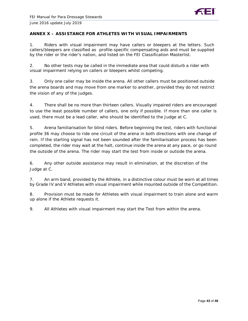

#### **ANNEX X – ASSISTANCE FOR ATHLETES WITH VISUAL IMPAIRMENTS**

1. Riders with visual impairment may have callers or bleepers at the letters. Such callers/bleepers are classified as profile-specific compensating aids and must be supplied by the rider or the rider's nation, and listed on the FEI Classification Masterlist.

2. No other tests may be called in the immediate area that could disturb a rider with visual impairment relying on callers or bleepers whilst competing.

3. Only one caller may be inside the arena. All other callers must be positioned outside the arena boards and may move from one marker to another, provided they do not restrict the vision of any of the judges.

4. There shall be no more than thirteen callers. Visually impaired riders are encouraged to use the least possible number of callers, one only if possible. If more than one caller is used, there must be a lead caller, who should be identified to the Judge at C.

5. Arena familiarisation for blind riders. Before beginning the test, riders with functional profile 36 may choose to ride one circuit of the arena in both directions with one change of rein. If the starting signal has not been sounded after the familiarisation process has been completed, the rider may wait at the halt, continue inside the arena at any pace, or go round the outside of the arena. The rider may start the test from inside or outside the arena.

6. Any other outside assistance may result in elimination, at the discretion of the Judge at C.

7. An arm band, provided by the Athlete, in a distinctive colour must be worn at all times by Grade IV and V Athletes with visual impairment while mounted outside of the Competition.

8. Provision must be made for Athletes with visual impairment to train alone and warm up alone if the Athlete requests it.

9. All Athletes with visual impairment may start the Test from within the arena.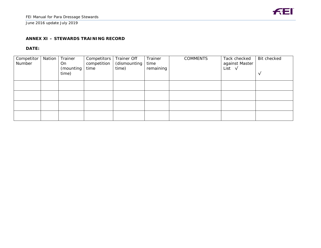#### **ANNEX XI – STEWARDS TRAINING RECORD**

## **DATE:**

| Competitor<br>Number | Nation | Trainer<br>On<br>(mounting<br>time) | Competitors<br>competition<br>time | Trainer Off<br>(dismounting<br>time) | Trainer<br>time<br>remaining | <b>COMMENTS</b> | Tack checked<br>against Master<br>List $\sqrt{}$ | Bit checked<br>√ |
|----------------------|--------|-------------------------------------|------------------------------------|--------------------------------------|------------------------------|-----------------|--------------------------------------------------|------------------|
|                      |        |                                     |                                    |                                      |                              |                 |                                                  |                  |
|                      |        |                                     |                                    |                                      |                              |                 |                                                  |                  |
|                      |        |                                     |                                    |                                      |                              |                 |                                                  |                  |
|                      |        |                                     |                                    |                                      |                              |                 |                                                  |                  |

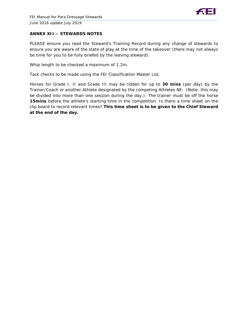

## **ANNEX XII – STEWARDS NOTES**

PLEASE ensure you read the Steward's Training Record during any change of stewards to ensure you are aware of the state of play at the time of the takeover (there may not always be time for you to be fully briefed by the leaving steward).

Whip length to be checked a maximum of 1.2m.

Tack checks to be made using the FEI Classification Master List.

Horses for Grade I, II and Grade III may be ridden for up to **30 mins** (per day) by the Trainer/Coach or another Athlete designated by the competing Athletes NF. (Note: this may be divided into more than one session during the day.). The trainer must be off the horse **15mins** before the athlete's starting time in the competition. Is there a time sheet on the clip board to record relevant times? **This time sheet is to be given to the Chief Steward at the end of the day.**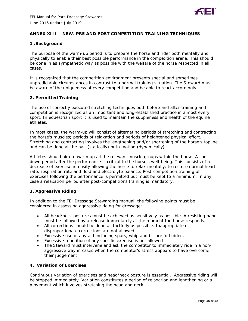

#### **ANNEX XIII – NEW. PRE AND POST COMPETITION TRAINING TECHNIQUES**

#### **1 .Background**

The purpose of the warm-up period is to prepare the horse and rider both mentally and physically to enable their best possible performance in the competition arena. This should be done in as sympathetic way as possible with the welfare of the horse respected in all cases.

It is recognized that the competition environment presents special and sometimes unpredictable circumstances in contrast to a normal training situation. The Steward must be aware of the uniqueness of every competition and be able to react accordingly.

#### **2. Permitted Training**

The use of correctly executed stretching techniques both before and after training and competition is recognized as an important and long-established practice in almost every sport. In equestrian sport it is used to maintain the suppleness and health of the equine athletes.

In most cases, the warm-up will consist of alternating periods of stretching and contracting the horse's muscles; periods of relaxation and periods of heightened physical effort. Stretching and contracting involves the lengthening and/or shortening of the horse's topline and can be done at the halt (statically) or in motion (dynamically).

Athletes should aim to warm up all the relevant muscle groups within the horse. A cooldown period after the performance is critical to the horse's well-being. This consists of a decrease of exercise intensity allowing the horse to relax mentally, to restore normal heart rate, respiration rate and fluid and electrolyte balance. Post-competition training of exercises following the performance is permitted but must be kept to a minimum. In any case a relaxation period after post-competitions training is mandatory.

#### **3. Aggressive Riding**

In addition to the FEI Dressage Stewarding manual, the following points must be considered in assessing aggressive riding for dressage:

- All head/neck postures must be achieved as sensitively as possible. A resisting hand must be followed by a release immediately at the moment the horse responds.
- All corrections should be done as tactfully as possible. Inappropriate or disproportionate corrections are not allowed
- Excessive use of any aid including spurs, whip and bit are forbidden.
- Excessive repetition of any specific exercise is not allowed
- The Steward must intervene and ask the competitor to immediately ride in a nonaggressive way in cases when the competitor's stress appears to have overcome their judgement

#### **4. Variation of Exercises**

Continuous variation of exercises and head/neck posture is essential. Aggressive riding will be stopped immediately. Variation constitutes a period of relaxation and lengthening or a movement which involves stretching the head and neck.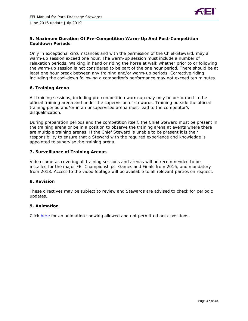

#### **5. Maximum Duration Of Pre-Competition Warm-Up And Post-Competition Cooldown Periods**

Only in exceptional circumstances and with the permission of the Chief-Steward, may a warm-up session exceed one hour. The warm-up session must include a number of relaxation periods. Walking in hand or riding the horse at walk whether prior to or following the warm-up session is not considered to be part of the one hour period. There should be at least one hour break between any training and/or warm-up periods. Corrective riding including the cool-down following a competitor's performance may not exceed ten minutes.

#### **6. Training Arena**

All training sessions, including pre-competition warm-up may only be performed in the official training arena and under the supervision of stewards. Training outside the official training period and/or in an unsupervised arena must lead to the competitor's disqualification.

During preparation periods and the competition itself, the Chief Steward must be present in the training arena or be in a position to observe the training arena at events where there are multiple training arenas. If the Chief Steward is unable to be present it is their responsibility to ensure that a Steward with the required experience and knowledge is appointed to supervise the training arena.

#### **7. Surveillance of Training Arenas**

Video cameras covering all training sessions and arenas will be recommended to be installed for the major FEI Championships, Games and Finals from 2016, and mandatory from 2018. Access to the video footage will be available to all relevant parties on request.

#### **8. Revision**

These directives may be subject to review and Stewards are advised to check for periodic updates.

#### **9. Animation**

Click [here](https://www.youtube.com/watch?v=2tpVNSTR8Nw) for an animation showing allowed and not permitted neck positions.